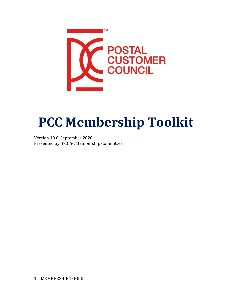

# **PCC Membership Toolkit**

Version 10.0, September 2020 Presented by: PCCAC Membership Committee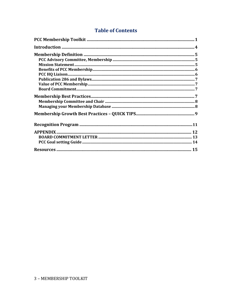### **Table of Contents**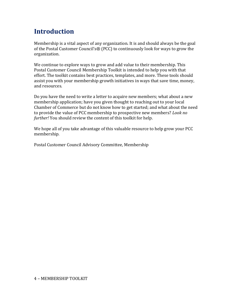# **Introduction**

Membership is a vital aspect of any organization. It is and should always be the goal of the Postal Customer Council's® (PCC) to continuously look for ways to grow the organization.

We continue to explore ways to grow and add value to their membership. This Postal Customer Council Membership Toolkit is intended to help you with that effort. The toolkit contains best practices, templates, and more. These tools should assist you with your membership growth initiatives in ways that save time, money, and resources.

Do you have the need to write a letter to acquire new members; what about a new membership application; have you given thought to reaching out to your local Chamber of Commerce but do not know how to get started; and what about the need to provide the value of PCC membership to prospective new members? *Look no further!* You should review the content of this toolkit for help.

We hope all of you take advantage of this valuable resource to help grow your PCC membership*.*

Postal Customer Council Advisory Committee, Membership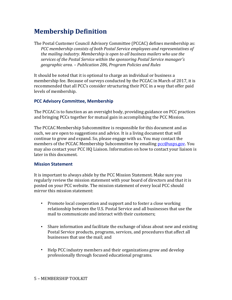# **Membership Definition**

The Postal Customer Council Advisory Committee (PCCAC) defines membership as: *PCC membership consists of both Postal Service employees and representatives of the mailing industry. Membership is open to all business mailers who use the services of the Postal Service within the sponsoring Postal Service manager's geographic area. – Publication 286, Program Policies and Rules*

It should be noted that it is optional to charge an individual or business a membership fee. Because of surveys conducted by the PCCAC in March of 2017, it is recommended that all PCC's consider structuring their PCC in a way that offer paid levels of membership.

### **PCC Advisory Committee, Membership**

The PCCAC is to function as an oversight body, providing guidance on PCC practices and bringing PCCs together for mutual gain in accomplishing the PCC Mission.

The PCCAC Membership Subcommittee is responsible for this document and as such, we are open to suggestions and advice. It is a living document that will continue to grow and expand. So, please engage with us. You may contact the members of the PCCAC Membership Subcommittee by emailing [pcc@usps.gov.](mailto:pcc@usps.gov) You may also contact your PCC HQ Liaison. Information on how to contact your liaison is later in this document.

### **Mission Statement**

It is important to always abide by the PCC Mission Statement. Make sure you regularly review the mission statement with your board of directors and that it is posted on your PCC website. The mission statement of every local PCC should mirror this mission statement:

- Promote local cooperation and support and to foster a close working relationship between the U.S. Postal Service and all businesses that use the mail to communicate and interact with their customers;
- Share information and facilitate the exchange of ideas about new and existing Postal Service products, programs, services, and procedures that affect all businesses that use the mail; and
- Help PCC industry members and their organizations grow and develop professionally through focused educational programs.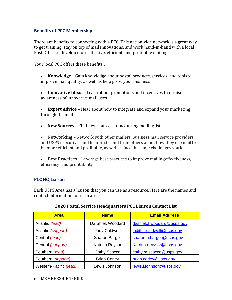### **Benefits of PCC Membership**

There are benefits to connecting with a PCC. This nationwide network is a great way to get training, stay on top of mail innovations, and work hand-in-hand with a local Post Office to develop more effective, efficient, and profitable mailings.

Your local PCC offers these benefits...

- **Knowledge –** Gain knowledge about postal products, services, and toolsto improve mail quality, as well as help grow your business
- **Innovative Ideas –** Learn about promotions and incentives that raise awareness of innovative mail uses
- **Expert Advice –** Hear about how to integrate and expand your marketing through the mail
- **New Sources –** Find new sources for acquiring mailinglists

 **Networking –** Network with other mailers, business mail service providers, and USPS executives and hear first-hand from others about how they use mailto be more efficient and profitable, as well as face the same challenges youface

 **Best Practices –** Leverage best practices to improve mailingeffectiveness, efficiency, and profitability

### **PCC HQ Liaison**

Each USPS Area has a liaison that you can use as a resource. Here are the names and contact information for each area.

| <b>Area</b>            | <b>Name</b>          | <b>Email Address</b>       |
|------------------------|----------------------|----------------------------|
| Atlantic (lead)        | Da Shiek Woodard     | dashiek.f.woodard@usps.gov |
| Atlantic (support)     | <b>Judy Caldwell</b> | judith.r.caldwell@usps.gov |
| Central (lead)         | <b>Sharon Barger</b> | sharon.a.barger@usps.gov   |
| Central (support)      | Katrina Raysor       | Katrina.r.raysor@usps.gov  |
| Southern (lead)        | Cathy Scocco         | cathy.m.scocco@usps.gov    |
| Southern (support)     | <b>Brian Corley</b>  | brian.corley@usps.gov      |
| Western-Pacific (lead) | Lewis Johnson        | lewis.l.johnson@usps.gov   |

### **2020 Postal Service Headquarters PCC Liaison Contact List**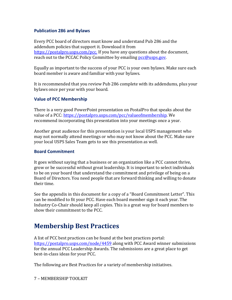### **Publication 286 and Bylaws**

Every PCC board of directors must know and understand Pub 286 and the addendum policies that support it. Download it from [https://postalpro.usps.com/pcc.](https://postalpro.usps.com/pcc) If you have any questions about the document, reach out to the PCCAC Policy Committee by emailing [pcc@usps.gov.](mailto:pcc@usps.gov)

Equally as important to the success of your PCC is your own bylaws. Make sure each board member is aware and familiar with your bylaws.

It is recommended that you review Pub 286 complete with its addendums, plus your bylaws once per year with your board.

### **Value of PCC Membership**

There is a very good PowerPoint presentation on PostalPro that speaks about the value of a PCC: [https://postalpro.usps.com/pcc/valueofmembership. W](https://postalpro.usps.com/pcc/valueofmembership)e recommend incorporating this presentation into your meetings once a year.

Another great audience for this presentation is your local USPS management who may not normally attend meetings or who may not know about the PCC. Make sure your local USPS Sales Team gets to see this presentation as well.

### **Board Commitment**

It goes without saying that a business or an organization like a PCC cannot thrive, grow or be successful without great leadership. It is important to select individuals to be on your board that understand the commitment and privilege of being on a Board of Directors. You need people that are forward thinking and willing to donate their time.

See the appendix in this document for a copy of a "Board Commitment Letter". This can be modified to fit your PCC. Have each board member sign it each year. The Industry Co-Chair should keep all copies. This is a great way for board members to show their commitment to the PCC.

### **Membership Best Practices**

A list of PCC best practices can be found at the best practices portal: <https://postalpro.usps.com/node/4459> along with PCC Award winner submissions for the annual PCC Leadership Awards. The submissions are a great place to get best-in-class ideas for your PCC.

The following are Best Practices for a variety of membership initiatives.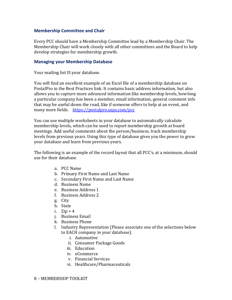### **Membership Committee and Chair**

Every PCC should have a Membership Committee lead by a Membership Chair. The Membership Chair will work closely with all other committees and the Board to help develop strategies for membership growth.

### **Managing your Membership Database**

Your mailing list IS your database.

You will find an excellent example of an Excel file of a membership database on PostalPro in the Best Practices link. It contains basic address information, but also allows you to capture more advanced information like membership levels, howlong a particular company has been a member, email information, general comment info that may be useful down the road, like if someone offers to help at an event, and many more fields. <https://postalpro.usps.com/pcc>

You can use multiple worksheets in your database to automatically calculate membership levels, which can be used to report membership growth at board meetings. Add useful comments about the person/business, track membership levels from previous years. Using this type of database gives you the power to grow your database and learn from previous years.

The following is an example of the record layout that all PCC's, at a minimum, should use for their database.

- a. PCC Name
- b. Primary First Name and Last Name
- c. Secondary First Name and Last Name
- d. Business Name
- e. Business Address 1
- f. Business Address 2
- g. City
- h. State
- i. Zip + 4
- j. Business Email
- k. Business Phone
- l. Industry Representation (Please associate one of the selections below to EACH company in your database).
	- i. Automotive
	- ii. Consumer Package Goods
	- iii. Education
	- iv. eCommerce
	- v. Financial Services
	- vi. Healthcare/Pharmaceuticals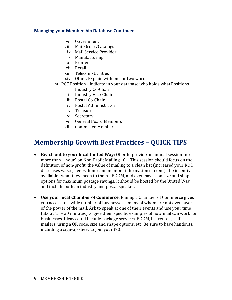### **Managing your Membership Database Continued**

- vii. Government
- viii. MailOrder/Catalogs
- ix. Mail Service Provider
- x. Manufacturing
- xi. Printer
- xii. Retail
- xiii. Telecom/Utilities
- xiv. Other, Explain with one or two words

### m. PCC Position - Indicate in your database who holds what Positions

- i. Industry Co-Chair
- ii. Industry Vice-Chair
- iii. Postal Co-Chair
- iv. Postal Administrator
- v. Treasurer
- vi. Secretary
- vii. General Board Members
- viii. Committee Members

### **Membership Growth Best Practices – QUICK TIPS**

- **Reach out to your local United Way**: Offer to provide an annual session (no more than 1 hour) on Non-Profit Mailing 101. This session should focus on the definition of non-profit, the value of mailing to a clean list (increased your ROI, decreases waste, keeps donor and member information current), the incentives available (what they mean to them), EDDM, and even basics on size and shape options for maximum postage savings. It should be hosted by the United Way and include both an industry and postal speaker.
- **Use your local Chamber of Commerce**: Joining a Chamber of Commerce gives you access to a wide number of businesses – many of whom are not even aware of the power of the mail. Ask to speak at one of their events and use your time (about 15 – 20 minutes) to give them specific examples of how mail can work for businesses. Ideas could include package services, EDDM, list rentals, selfmailers, using a QR code, size and shape options, etc. Be sure to have handouts, including a sign-up sheet to join your PCC!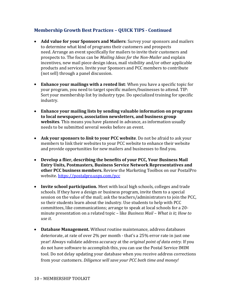### **Membership Growth Best Practices – QUICK TIPS - Continued**

- **Add value for your Sponsors and Mailers**: Survey your sponsors and mailers to determine what kind of programs their customers and prospects need. Arrange an event specifically for mailers to invite their customers and prospects to. The focus can be *Mailing Ideas for the Non-Mailer* and explain incentives, new mail piece design ideas, mail visibility and/or other applicable products and services. Invite your Sponsors and PCC members to contribute (not sell) through a panel discussion.
- **Enhance your mailings with a rented list**: When you have a specific topic for your program, you need to target specific mailers/businesses to attend. TIP: Sort your membership list by industry type. Do specialized training for specific industry.
- **Enhance your mailing lists by sending valuable information on programs to local newspapers, association newsletters, and business group websites**. This means you have planned in advance, as information usually needs to be submitted several weeks before an event.
- **Ask your sponsors to** *link* **to your PCC website**. Do not be afraid to ask your members to link their websites to your PCC website to enhance their website and provide opportunities for new mailers and businesses to find you.
- **Develop a flier, describing the benefits of your PCC, Your Business Mail Entry Units, Postmasters, Business Service Network Representatives and other PCC business members.** Review the Marketing Toolbox on our PostalPro website.<https://postalpro.usps.com/pcc>
- **Invite school participation.** Meet with local high schools, colleges and trade schools. If they have a design or business program, invite them to a special session on the value of the mail; ask the teachers/administrators to join the PCC, so their students learn about the industry. Use students to help with PCC committees, like communications; arrange to speak at local schools for a 20 minute presentation on a related topic – like *Business Mail – What is it; How to use it*.
- **Database Management.** Without routine maintenance, address databases deteriorate, at rate of over 2% per month - that's a 25% error rate in just one year! Always validate address accuracy at the *original point of data entry.* If you do not have software to accomplish this, you can use the Postal Service IMIM tool. Do not delay updating your database when you receive address corrections from your customers. *Diligence will save your PCC both time and money!*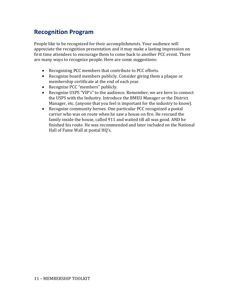### **Recognition Program**

People like to be recognized for their accomplishments. Your audience will appreciate the recognition presentation and it may make a lasting impression on first time attendees to encourage them to come back to another PCC event. There are many ways to recognize people. Here are some suggestions:

- Recognizing PCC members that contribute to PCC efforts.
- Recognize board members publicly. Consider giving them a plaque or membership certificate at the end of each year.
- Recognize PCC "members" publicly.  $\bullet$
- Recognize USPS "VIP's" to the audience. Remember, we are here to connect the USPS with the Industry. Introduce the BMEU Manager or the District Manager, etc. (anyone that you feel is important for the industry to know).  $\bullet$
- Recognize community heroes. One particular PCC recognized a postal carrier who was on route when he saw a house on fire. He rescued the family inside the house, called 911 and waited till all was good. AND he finished his route. He was recommended and later included on the National Hall of Fame Wall at postal HQ's.  $\bullet$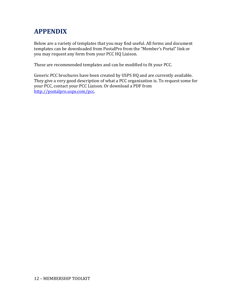# **APPENDIX**

Below are a variety of templates that you may find useful. All forms and document templates can be downloaded from PostalPro from the "Member's Portal" link or you may request any form from your PCC HQ Liaison.

These are recommended templates and can be modified to fit your PCC.

Generic PCC brochures have been created by USPS HQ and are currently available. They give a very good description of what a PCC organization is. To request some for your PCC, contact your PCC Liaison. Or download a PDF from [http://postalpro.usps.com/pcc.](http://postalpro.usps.com/pcc)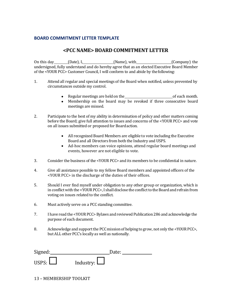### **BOARD COMMITMENT LETTER TEMPLATE**

### **<PCC NAME> BOARD COMMITMENT LETTER**

On this day \_\_\_\_\_\_(Date), I, \_\_\_\_\_\_\_\_\_\_\_\_(Name), with \_\_\_\_\_\_\_\_\_\_\_\_\_(Company) the undersigned, fully understand and do hereby agree that as an elected Executive Board Member of the <YOUR PCC> Customer Council, I will conform to and abide by thefollowing:

- 1. Attend all regular and special meetings of the Board when notified, unless prevented by circumstances outside my control.
	- Regular meetings are held on the order of each month.
	- Membership on the board may be revoked if three consecutive board meetings are missed.
- 2. Participate to the best of my ability in determination of policy and other matters coming before the Board; give full attention to issues and concerns of the <YOUR PCC> and vote on all issues submitted or proposed for Boardaction.
	- All recognized Board Members are eligible to vote including the Executive Board and all Directors from both the Industry and USPS.
	- Ad-hoc members can voice opinions, attend regular board meetings and events, however are not eligible to vote.
- 3. Consider the business of the <YOUR PCC> and its members to be confidential in nature.
- 4. Give all assistance possible to my fellow Board members and appointed officers of the <YOUR PCC> in the discharge of the duties of their offices.
- 5. Should I ever find myself under obligation to any other group or organization, which is in conflict with the <YOUR PCC>, I shall disclose the conflict to the Board and refrain from voting on issues related to the conflict.
- 6. Must actively serve on a PCC standing committee.
- 7. I have read the <YOUR PCC> Bylaws and reviewed Publication 286 and acknowledge the purpose of each document.
- 8. Acknowledge and supportthe PCCmissionof helping to grow, not only the <YOURPCC>, but ALL other PCC's locally as well as nationally.

| Signed:      | Date:            |
|--------------|------------------|
| USPS: $\Box$ | Industry: $\Box$ |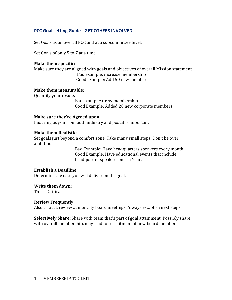### **PCC Goal setting Guide - GET OTHERS INVOLVED**

Set Goals as an overall PCC and at a subcommittee level.

Set Goals of only 5 to 7 at a time

### **Make them specific:**

Make sure they are aligned with goals and objectives of overall Mission statement Bad example: increase membership Good example: Add 50 new members

#### **Make them measurable:**

Quantify your results

Bad example: Grew membership Good Example: Added 20 new corporate members

### **Make sure they're Agreed upon**

Ensuring buy-in from both industry and postal is important

### **Make them Realistic:**

Set goals just beyond a comfort zone. Take many small steps. Don't be over ambitious.

> Bad Example: Have headquarters speakers every month Good Example: Have educational events that include headquarter speakers once a Year.

### **Establish a Deadline:**

Determine the date you will deliver on the goal.

#### **Write them down:**

This is Critical

#### **Review Frequently:**

Also critical, review at monthly board meetings. Always establish next steps.

**Selectively Share:** Share with team that's part of goal attainment. Possibly share with overall membership, may lead to recruitment of new board members.